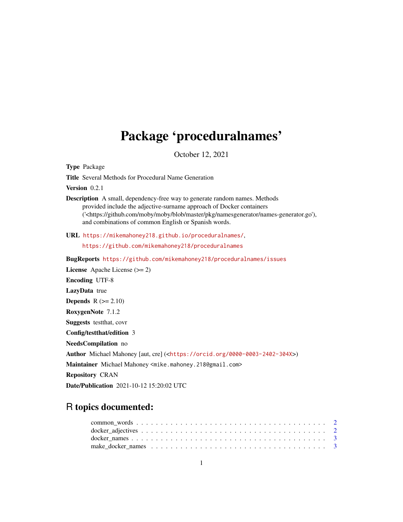# Package 'proceduralnames'

October 12, 2021

Type Package

Title Several Methods for Procedural Name Generation

Version 0.2.1

Description A small, dependency-free way to generate random names. Methods provided include the adjective-surname approach of Docker containers ('<https://github.com/moby/moby/blob/master/pkg/namesgenerator/names-generator.go'), and combinations of common English or Spanish words.

URL <https://mikemahoney218.github.io/proceduralnames/>,

<https://github.com/mikemahoney218/proceduralnames>

BugReports <https://github.com/mikemahoney218/proceduralnames/issues>

License Apache License (>= 2) Encoding UTF-8 LazyData true Depends  $R (= 2.10)$ RoxygenNote 7.1.2 Suggests testthat, covr Config/testthat/edition 3 NeedsCompilation no Author Michael Mahoney [aut, cre] (<<https://orcid.org/0000-0003-2402-304X>>) Maintainer Michael Mahoney <mike.mahoney.218@gmail.com> Repository CRAN Date/Publication 2021-10-12 15:20:02 UTC

## R topics documented: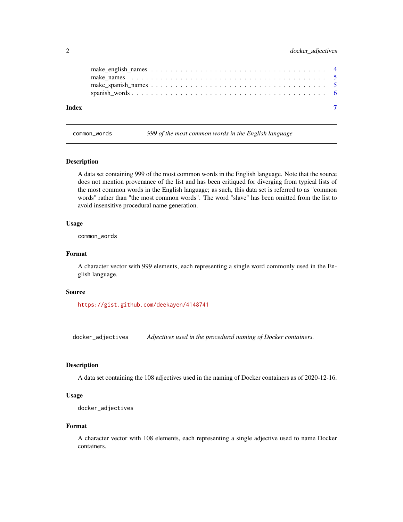<span id="page-1-0"></span>

| Index |  |
|-------|--|

common\_words *999 of the most common words in the English language*

#### Description

A data set containing 999 of the most common words in the English language. Note that the source does not mention provenance of the list and has been critiqued for diverging from typical lists of the most common words in the English language; as such, this data set is referred to as "common words" rather than "the most common words". The word "slave" has been omitted from the list to avoid insensitive procedural name generation.

#### Usage

common\_words

### Format

A character vector with 999 elements, each representing a single word commonly used in the English language.

#### Source

<https://gist.github.com/deekayen/4148741>

docker\_adjectives *Adjectives used in the procedural naming of Docker containers.*

#### Description

A data set containing the 108 adjectives used in the naming of Docker containers as of 2020-12-16.

### Usage

```
docker_adjectives
```
#### Format

A character vector with 108 elements, each representing a single adjective used to name Docker containers.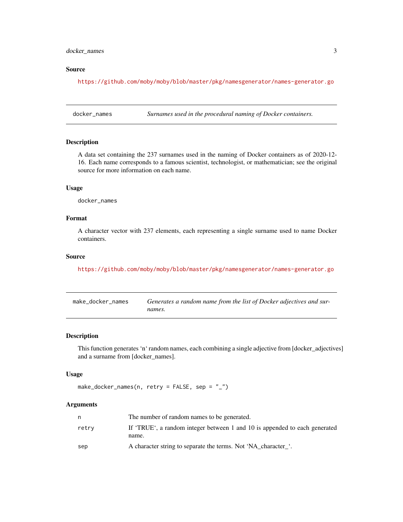### <span id="page-2-0"></span>docker\_names 3

#### Source

<https://github.com/moby/moby/blob/master/pkg/namesgenerator/names-generator.go>

docker\_names *Surnames used in the procedural naming of Docker containers.*

#### Description

A data set containing the 237 surnames used in the naming of Docker containers as of 2020-12- 16. Each name corresponds to a famous scientist, technologist, or mathematician; see the original source for more information on each name.

#### Usage

docker\_names

#### Format

A character vector with 237 elements, each representing a single surname used to name Docker containers.

#### Source

<https://github.com/moby/moby/blob/master/pkg/namesgenerator/names-generator.go>

| make docker names | Generates a random name from the list of Docker adjectives and sur- |
|-------------------|---------------------------------------------------------------------|
|                   | names.                                                              |

#### Description

This function generates 'n' random names, each combining a single adjective from [docker\_adjectives] and a surname from [docker\_names].

#### Usage

```
make_docker_names(n, retry = FALSE, sep = "_")
```
#### Arguments

|       | The number of random names to be generated.                                         |
|-------|-------------------------------------------------------------------------------------|
| retry | If 'TRUE', a random integer between 1 and 10 is appended to each generated<br>name. |
| sep   | A character string to separate the terms. Not 'NA character'.                       |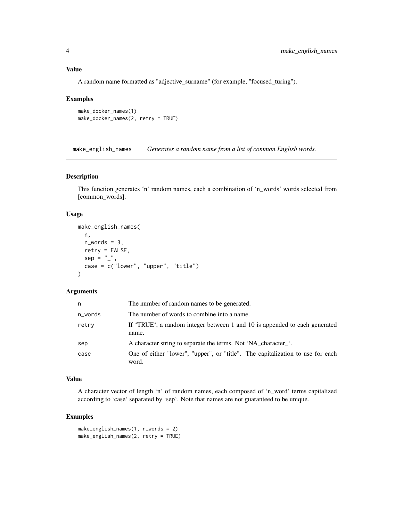#### <span id="page-3-0"></span>Value

A random name formatted as "adjective\_surname" (for example, "focused\_turing").

#### Examples

```
make_docker_names(1)
make_docker_names(2, retry = TRUE)
```
make\_english\_names *Generates a random name from a list of common English words.*

#### Description

This function generates 'n' random names, each a combination of 'n\_words' words selected from [common\_words].

#### Usage

```
make_english_names(
  n,
  n_words = 3,
  retry = FALSE,
  sep = "''',case = c("lower", "upper", "title")
\lambda
```
#### Arguments

| n       | The number of random names to be generated.                                             |
|---------|-----------------------------------------------------------------------------------------|
| n_words | The number of words to combine into a name.                                             |
| retry   | If 'TRUE', a random integer between 1 and 10 is appended to each generated<br>name.     |
| sep     | A character string to separate the terms. Not 'NA_character_'.                          |
| case    | One of either "lower", "upper", or "title". The capitalization to use for each<br>word. |

#### Value

A character vector of length 'n' of random names, each composed of 'n\_word' terms capitalized according to 'case' separated by 'sep'. Note that names are not guaranteed to be unique.

### Examples

```
make_english_names(1, n_words = 2)
make_english_names(2, retry = TRUE)
```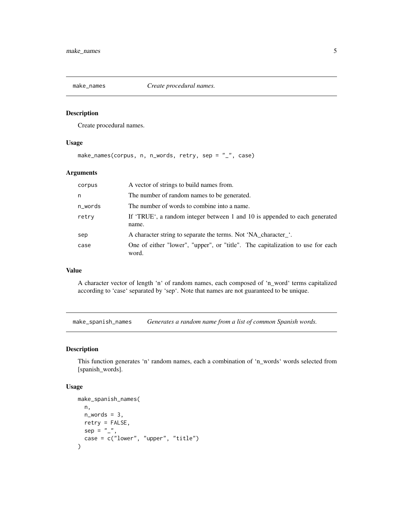<span id="page-4-0"></span>

#### Description

Create procedural names.

#### Usage

make\_names(corpus, n, n\_words, retry, sep = "\_", case)

### Arguments

| corpus  | A vector of strings to build names from.                                                |
|---------|-----------------------------------------------------------------------------------------|
| n       | The number of random names to be generated.                                             |
| n_words | The number of words to combine into a name.                                             |
| retry   | If 'TRUE', a random integer between 1 and 10 is appended to each generated<br>name.     |
| sep     | A character string to separate the terms. Not 'NA character'.                           |
| case    | One of either "lower", "upper", or "title". The capitalization to use for each<br>word. |

#### Value

A character vector of length 'n' of random names, each composed of 'n\_word' terms capitalized according to 'case' separated by 'sep'. Note that names are not guaranteed to be unique.

make\_spanish\_names *Generates a random name from a list of common Spanish words.*

#### Description

This function generates 'n' random names, each a combination of 'n\_words' words selected from [spanish\_words].

#### Usage

```
make_spanish_names(
  n,
  n_words = 3,
  retry = FALSE,
  sep = "''_",case = c("lower", "upper", "title")
\mathcal{E}
```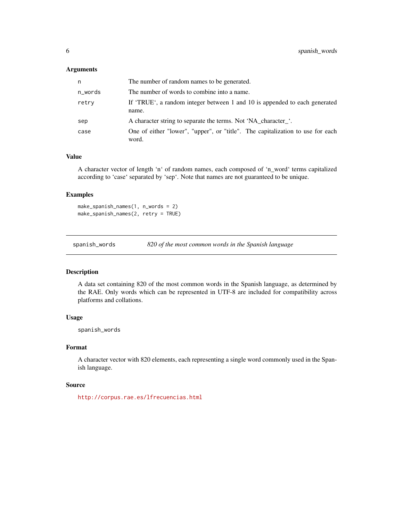#### <span id="page-5-0"></span>Arguments

| n       | The number of random names to be generated.                                             |
|---------|-----------------------------------------------------------------------------------------|
| n_words | The number of words to combine into a name.                                             |
| retry   | If 'TRUE', a random integer between 1 and 10 is appended to each generated<br>name.     |
| sep     | A character string to separate the terms. Not 'NA character'.                           |
| case    | One of either "lower", "upper", or "title". The capitalization to use for each<br>word. |

#### Value

A character vector of length 'n' of random names, each composed of 'n\_word' terms capitalized according to 'case' separated by 'sep'. Note that names are not guaranteed to be unique.

#### Examples

make\_spanish\_names(1, n\_words = 2) make\_spanish\_names(2, retry = TRUE)

spanish\_words *820 of the most common words in the Spanish language*

### Description

A data set containing 820 of the most common words in the Spanish language, as determined by the RAE. Only words which can be represented in UTF-8 are included for compatibility across platforms and collations.

#### Usage

spanish\_words

#### Format

A character vector with 820 elements, each representing a single word commonly used in the Spanish language.

#### Source

<http://corpus.rae.es/lfrecuencias.html>